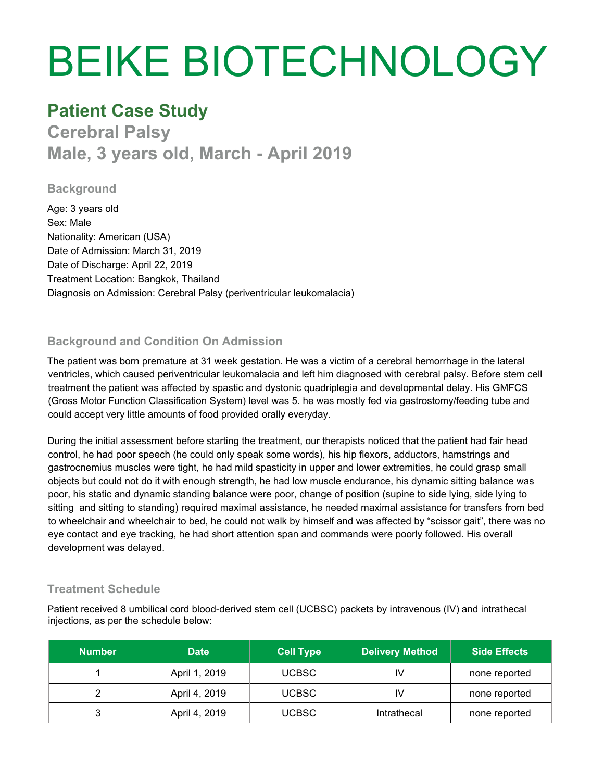# BEIKE BIOTECHNOLOGY

# **Patient Case Study**

**Cerebral Palsy Male, 3 years old, March - April 2019**

#### **Background**

Age: 3 years old Sex: Male Nationality: American (USA) Date of Admission: March 31, 2019 Date of Discharge: April 22, 2019 Treatment Location: Bangkok, Thailand Diagnosis on Admission: Cerebral Palsy (periventricular leukomalacia)

## **Background and Condition On Admission**

The patient was born premature at 31 week gestation. He was a victim of a cerebral hemorrhage in the lateral ventricles, which caused periventricular leukomalacia and left him diagnosed with cerebral palsy. Before stem cell treatment the patient was affected by spastic and dystonic quadriplegia and developmental delay. His GMFCS (Gross Motor Function Classification System) level was 5. he was mostly fed via gastrostomy/feeding tube and could accept very little amounts of food provided orally everyday.

During the initial assessment before starting the treatment, our therapists noticed that the patient had fair head control, he had poor speech (he could only speak some words), his hip flexors, adductors, hamstrings and gastrocnemius muscles were tight, he had mild spasticity in upper and lower extremities, he could grasp small objects but could not do it with enough strength, he had low muscle endurance, his dynamic sitting balance was poor, his static and dynamic standing balance were poor, change of position (supine to side lying, side lying to sitting and sitting to standing) required maximal assistance, he needed maximal assistance for transfers from bed to wheelchair and wheelchair to bed, he could not walk by himself and was affected by "scissor gait", there was no eye contact and eye tracking, he had short attention span and commands were poorly followed. His overall development was delayed.

### **Treatment Schedule**

Patient received 8 umbilical cord blood-derived stem cell (UCBSC) packets by intravenous (IV) and intrathecal injections, as per the schedule below:

| <b>Number</b> | <b>Date</b>   | <b>Cell Type</b> | <b>Delivery Method</b> | <b>Side Effects</b> |
|---------------|---------------|------------------|------------------------|---------------------|
|               | April 1, 2019 | UCBSC            | 1V                     | none reported       |
|               | April 4, 2019 | <b>UCBSC</b>     | IV                     | none reported       |
|               | April 4, 2019 | <b>UCBSC</b>     | Intrathecal            | none reported       |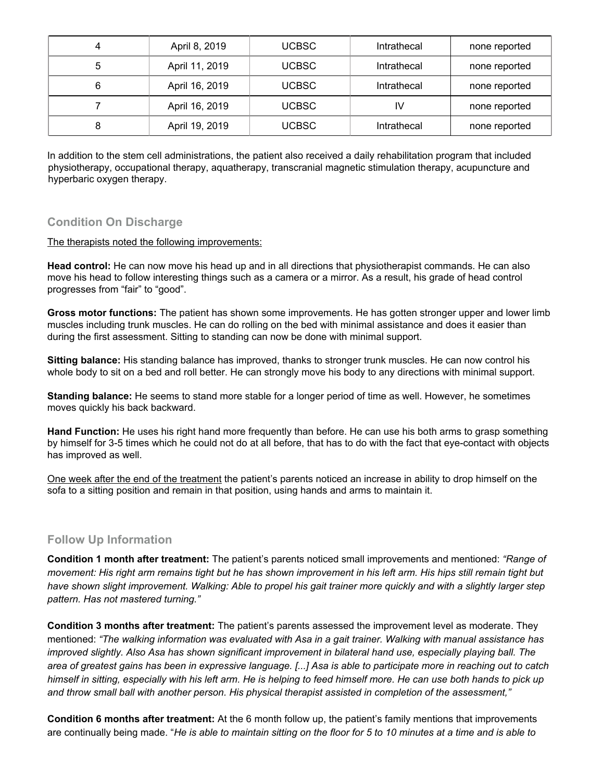|   | April 8, 2019  | <b>UCBSC</b> | Intrathecal | none reported |
|---|----------------|--------------|-------------|---------------|
| 5 | April 11, 2019 | <b>UCBSC</b> | Intrathecal | none reported |
| 6 | April 16, 2019 | <b>UCBSC</b> | Intrathecal | none reported |
|   | April 16, 2019 | <b>UCBSC</b> | I٧          | none reported |
| 8 | April 19, 2019 | <b>UCBSC</b> | Intrathecal | none reported |

In addition to the stem cell administrations, the patient also received a daily rehabilitation program that included physiotherapy, occupational therapy, aquatherapy, transcranial magnetic stimulation therapy, acupuncture and hyperbaric oxygen therapy.

#### **Condition On Discharge**

#### The therapists noted the following improvements:

**Head control:** He can now move his head up and in all directions that physiotherapist commands. He can also move his head to follow interesting things such as a camera or a mirror. As a result, his grade of head control progresses from "fair" to "good".

**Gross motor functions:** The patient has shown some improvements. He has gotten stronger upper and lower limb muscles including trunk muscles. He can do rolling on the bed with minimal assistance and does it easier than during the first assessment. Sitting to standing can now be done with minimal support.

**Sitting balance:** His standing balance has improved, thanks to stronger trunk muscles. He can now control his whole body to sit on a bed and roll better. He can strongly move his body to any directions with minimal support.

**Standing balance:** He seems to stand more stable for a longer period of time as well. However, he sometimes moves quickly his back backward.

**Hand Function:** He uses his right hand more frequently than before. He can use his both arms to grasp something by himself for 3-5 times which he could not do at all before, that has to do with the fact that eye-contact with objects has improved as well.

One week after the end of the treatment the patient's parents noticed an increase in ability to drop himself on the sofa to a sitting position and remain in that position, using hands and arms to maintain it.

#### **Follow Up Information**

**Condition 1 month after treatment:** The patient's parents noticed small improvements and mentioned: *"Range of* movement: His right arm remains tight but he has shown improvement in his left arm. His hips still remain tight but have shown slight improvement. Walking: Able to propel his gait trainer more quickly and with a slightly larger step *pattern. Has not mastered turning."*

**Condition 3 months after treatment:** The patient's parents assessed the improvement level as moderate. They mentioned: *"The walking information was evaluated with Asa in a gait trainer. Walking with manual assistance has* improved slightly. Also Asa has shown significant improvement in bilateral hand use, especially playing ball. The area of greatest gains has been in expressive language. [...] Asa is able to participate more in reaching out to catch himself in sitting, especially with his left arm. He is helping to feed himself more. He can use both hands to pick up *and throw small ball with another person. His physical therapist assisted in completion of the assessment,"*

**Condition 6 months after treatment:** At the 6 month follow up, the patient's family mentions that improvements are continually being made. "He is able to maintain sitting on the floor for 5 to 10 minutes at a time and is able to